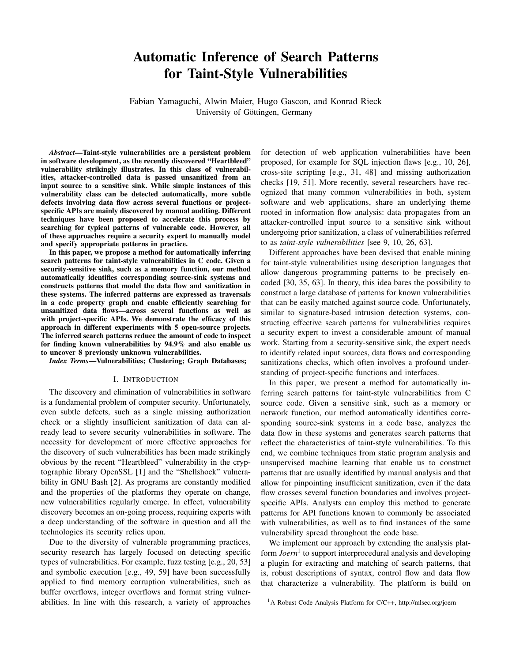# Automatic Inference of Search Patterns for Taint-Style Vulnerabilities

Fabian Yamaguchi, Alwin Maier, Hugo Gascon, and Konrad Rieck University of Göttingen, Germany

*Abstract*—Taint-style vulnerabilities are a persistent problem in software development, as the recently discovered "Heartbleed" vulnerability strikingly illustrates. In this class of vulnerabilities, attacker-controlled data is passed unsanitized from an input source to a sensitive sink. While simple instances of this vulnerability class can be detected automatically, more subtle defects involving data flow across several functions or projectspecific APIs are mainly discovered by manual auditing. Different techniques have been proposed to accelerate this process by searching for typical patterns of vulnerable code. However, all of these approaches require a security expert to manually model and specify appropriate patterns in practice.

In this paper, we propose a method for automatically inferring search patterns for taint-style vulnerabilities in C code. Given a security-sensitive sink, such as a memory function, our method automatically identifies corresponding source-sink systems and constructs patterns that model the data flow and sanitization in these systems. The inferred patterns are expressed as traversals in a code property graph and enable efficiently searching for unsanitized data flows—across several functions as well as with project-specific APIs. We demonstrate the efficacy of this approach in different experiments with 5 open-source projects. The inferred search patterns reduce the amount of code to inspect for finding known vulnerabilities by 94.9% and also enable us to uncover 8 previously unknown vulnerabilities.

*Index Terms*—Vulnerabilities; Clustering; Graph Databases;

#### I. INTRODUCTION

The discovery and elimination of vulnerabilities in software is a fundamental problem of computer security. Unfortunately, even subtle defects, such as a single missing authorization check or a slightly insufficient sanitization of data can already lead to severe security vulnerabilities in software. The necessity for development of more effective approaches for the discovery of such vulnerabilities has been made strikingly obvious by the recent "Heartbleed" vulnerability in the cryptographic library OpenSSL [1] and the "Shellshock" vulnerability in GNU Bash [2]. As programs are constantly modified and the properties of the platforms they operate on change, new vulnerabilities regularly emerge. In effect, vulnerability discovery becomes an on-going process, requiring experts with a deep understanding of the software in question and all the technologies its security relies upon.

Due to the diversity of vulnerable programming practices, security research has largely focused on detecting specific types of vulnerabilities. For example, fuzz testing [e.g., 20, 53] and symbolic execution [e.g., 49, 59] have been successfully applied to find memory corruption vulnerabilities, such as buffer overflows, integer overflows and format string vulnerabilities. In line with this research, a variety of approaches

for detection of web application vulnerabilities have been proposed, for example for SQL injection flaws [e.g., 10, 26], cross-site scripting [e.g., 31, 48] and missing authorization checks [19, 51]. More recently, several researchers have recognized that many common vulnerabilities in both, system software and web applications, share an underlying theme rooted in information flow analysis: data propagates from an attacker-controlled input source to a sensitive sink without undergoing prior sanitization, a class of vulnerabilities referred to as *taint-style vulnerabilities* [see 9, 10, 26, 63].

Different approaches have been devised that enable mining for taint-style vulnerabilities using description languages that allow dangerous programming patterns to be precisely encoded [30, 35, 63]. In theory, this idea bares the possibility to construct a large database of patterns for known vulnerabilities that can be easily matched against source code. Unfortunately, similar to signature-based intrusion detection systems, constructing effective search patterns for vulnerabilities requires a security expert to invest a considerable amount of manual work. Starting from a security-sensitive sink, the expert needs to identify related input sources, data flows and corresponding sanitizations checks, which often involves a profound understanding of project-specific functions and interfaces.

In this paper, we present a method for automatically inferring search patterns for taint-style vulnerabilities from C source code. Given a sensitive sink, such as a memory or network function, our method automatically identifies corresponding source-sink systems in a code base, analyzes the data flow in these systems and generates search patterns that reflect the characteristics of taint-style vulnerabilities. To this end, we combine techniques from static program analysis and unsupervised machine learning that enable us to construct patterns that are usually identified by manual analysis and that allow for pinpointing insufficient sanitization, even if the data flow crosses several function boundaries and involves projectspecific APIs. Analysts can employ this method to generate patterns for API functions known to commonly be associated with vulnerabilities, as well as to find instances of the same vulnerability spread throughout the code base.

We implement our approach by extending the analysis platform *Joern*<sup>1</sup> to support interprocedural analysis and developing a plugin for extracting and matching of search patterns, that is, robust descriptions of syntax, control flow and data flow that characterize a vulnerability. The platform is build on

<sup>1</sup>A Robust Code Analysis Platform for C/C++, http://mlsec.org/joern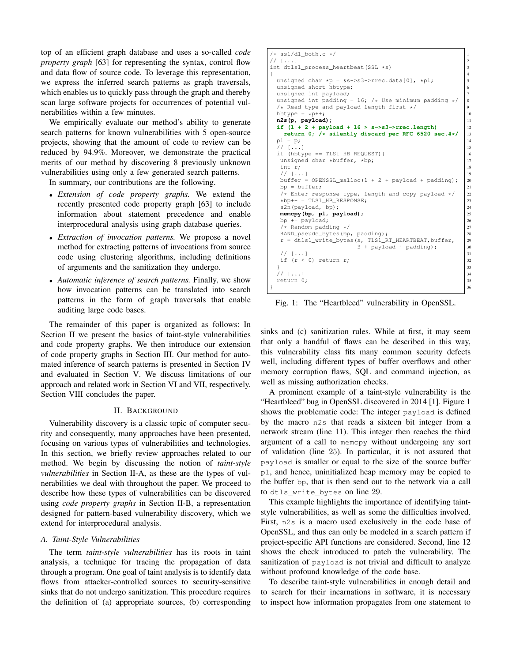top of an efficient graph database and uses a so-called *code property graph* [63] for representing the syntax, control flow and data flow of source code. To leverage this representation, we express the inferred search patterns as graph traversals, which enables us to quickly pass through the graph and thereby scan large software projects for occurrences of potential vulnerabilities within a few minutes.

We empirically evaluate our method's ability to generate search patterns for known vulnerabilities with 5 open-source projects, showing that the amount of code to review can be reduced by 94.9%. Moreover, we demonstrate the practical merits of our method by discovering 8 previously unknown vulnerabilities using only a few generated search patterns.

In summary, our contributions are the following.

- *Extension of code property graphs.* We extend the recently presented code property graph [63] to include information about statement precedence and enable interprocedural analysis using graph database queries.
- *Extraction of invocation patterns.* We propose a novel method for extracting patterns of invocations from source code using clustering algorithms, including definitions of arguments and the sanitization they undergo.
- *Automatic inference of search patterns.* Finally, we show how invocation patterns can be translated into search patterns in the form of graph traversals that enable auditing large code bases.

The remainder of this paper is organized as follows: In Section II we present the basics of taint-style vulnerabilities and code property graphs. We then introduce our extension of code property graphs in Section III. Our method for automated inference of search patterns is presented in Section IV and evaluated in Section V. We discuss limitations of our approach and related work in Section VI and VII, respectively. Section VIII concludes the paper.

## II. BACKGROUND

Vulnerability discovery is a classic topic of computer security and consequently, many approaches have been presented, focusing on various types of vulnerabilities and technologies. In this section, we briefly review approaches related to our method. We begin by discussing the notion of *taint-style vulnerabilities* in Section II-A, as these are the types of vulnerabilities we deal with throughout the paper. We proceed to describe how these types of vulnerabilities can be discovered using *code property graphs* in Section II-B, a representation designed for pattern-based vulnerability discovery, which we extend for interprocedural analysis.

## *A. Taint-Style Vulnerabilities*

The term *taint-style vulnerabilities* has its roots in taint analysis, a technique for tracing the propagation of data through a program. One goal of taint analysis is to identify data flows from attacker-controlled sources to security-sensitive sinks that do not undergo sanitization. This procedure requires the definition of (a) appropriate sources, (b) corresponding

| $/*$ ssl/dl_both.c $*/$                                                 | $\mathbf{1}$   |
|-------------------------------------------------------------------------|----------------|
| // []                                                                   | 2              |
| int dtls1_process_heartbeat(SSL *s)                                     | 3              |
| Ł                                                                       | $\overline{4}$ |
| unsigned char *p = $&s->s3->rrec.data[0], *p1;$                         | 5              |
| unsigned short hbtype;                                                  | 6              |
| unsigned int payload;                                                   | $\tau$         |
| unsigned int padding = 16; /* Use minimum padding */                    | 8              |
| $/*$ Read type and payload length first */                              | 9              |
| hbtype = $*p++;$                                                        | 10             |
| n2s(p, payload);                                                        | 11             |
| if $(1 + 2 +$ payload + 16 > s->s3->rrec.length)                        | 12             |
| return 0; $/*$ silently discard per RFC 6520 sec. $4*/$                 | 13             |
| $p1 = p;$                                                               | 14             |
| $//$ []                                                                 | 15             |
| if (hbtype == TLS1 HB REQUEST) {                                        | 16             |
| unsigned char *buffer, *bp;                                             | 17             |
| int r;                                                                  | 18             |
| $//$ $[]$                                                               | 19             |
| buffer = $OPENSSL_malloc(1 + 2 + payload + padding);$<br>$bp = buffer:$ | 20<br>21       |
| /* Enter response type, length and copy payload $*/$                    | 22             |
| $*b$ p++ = TLS1_HB_RESPONSE;                                            | 23             |
| s2n(payload, bp);                                                       | 24             |
| memcpy(bp, pl, payload);                                                | 25             |
| bp $+=$ payload;                                                        | 26             |
| /* Random padding */                                                    | 27             |
| RAND_pseudo_bytes(bp, padding);                                         | 28             |
| r = dtls1_write_bytes(s, TLS1_RT_HEARTBEAT, buffer,                     | 29             |
| $3 + payload + padding);$                                               | 30             |
| $//$ $[]$                                                               | 31             |
| if $(r < 0)$ return r;                                                  | 32             |
| $\left\{ \right.$                                                       | 33             |
| $//$ $[]$                                                               | 34             |
| return 0;                                                               | 35             |
| ł                                                                       | 36             |

Fig. 1: The "Heartbleed" vulnerability in OpenSSL.

sinks and (c) sanitization rules. While at first, it may seem that only a handful of flaws can be described in this way, this vulnerability class fits many common security defects well, including different types of buffer overflows and other memory corruption flaws, SQL and command injection, as well as missing authorization checks.

A prominent example of a taint-style vulnerability is the "Heartbleed" bug in OpenSSL discovered in 2014 [1]. Figure 1 shows the problematic code: The integer payload is defined by the macro n2s that reads a sixteen bit integer from a network stream (line 11). This integer then reaches the third argument of a call to memcpy without undergoing any sort of validation (line 25). In particular, it is not assured that payload is smaller or equal to the size of the source buffer pl, and hence, uninitialized heap memory may be copied to the buffer bp, that is then send out to the network via a call to dtls\_write\_bytes on line 29.

This example highlights the importance of identifying taintstyle vulnerabilities, as well as some the difficulties involved. First, n2s is a macro used exclusively in the code base of OpenSSL, and thus can only be modeled in a search pattern if project-specific API functions are considered. Second, line 12 shows the check introduced to patch the vulnerability. The sanitization of payload is not trivial and difficult to analyze without profound knowledge of the code base.

To describe taint-style vulnerabilities in enough detail and to search for their incarnations in software, it is necessary to inspect how information propagates from one statement to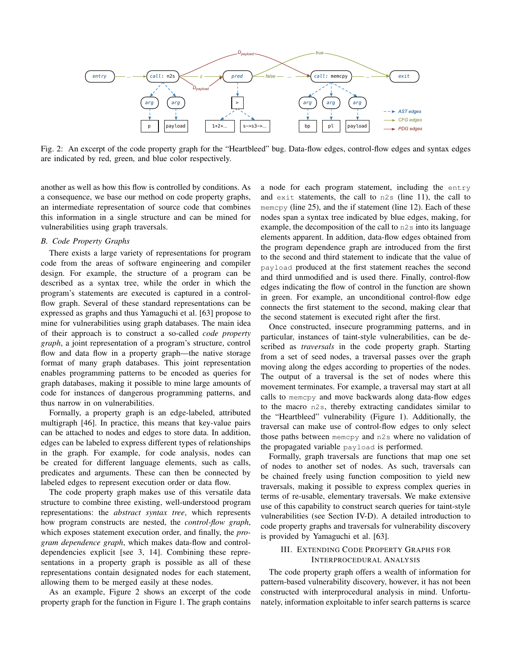

Fig. 2: An excerpt of the code property graph for the "Heartbleed" bug. Data-flow edges, control-flow edges and syntax edges are indicated by red, green, and blue color respectively.

another as well as how this flow is controlled by conditions. As a consequence, we base our method on code property graphs, an intermediate representation of source code that combines this information in a single structure and can be mined for vulnerabilities using graph traversals.

### *B. Code Property Graphs*

There exists a large variety of representations for program code from the areas of software engineering and compiler design. For example, the structure of a program can be described as a syntax tree, while the order in which the program's statements are executed is captured in a controlflow graph. Several of these standard representations can be expressed as graphs and thus Yamaguchi et al. [63] propose to mine for vulnerabilities using graph databases. The main idea of their approach is to construct a so-called *code property graph*, a joint representation of a program's structure, control flow and data flow in a property graph—the native storage format of many graph databases. This joint representation enables programming patterns to be encoded as queries for graph databases, making it possible to mine large amounts of code for instances of dangerous programming patterns, and thus narrow in on vulnerabilities.

Formally, a property graph is an edge-labeled, attributed multigraph [46]. In practice, this means that key-value pairs can be attached to nodes and edges to store data. In addition, edges can be labeled to express different types of relationships in the graph. For example, for code analysis, nodes can be created for different language elements, such as calls, predicates and arguments. These can then be connected by labeled edges to represent execution order or data flow.

The code property graph makes use of this versatile data structure to combine three existing, well-understood program representations: the *abstract syntax tree*, which represents how program constructs are nested, the *control-flow graph*, which exposes statement execution order, and finally, the *program dependence graph*, which makes data-flow and controldependencies explicit [see 3, 14]. Combining these representations in a property graph is possible as all of these representations contain designated nodes for each statement, allowing them to be merged easily at these nodes.

As an example, Figure 2 shows an excerpt of the code property graph for the function in Figure 1. The graph contains a node for each program statement, including the entry and exit statements, the call to n2s (line 11), the call to memcpy (line 25), and the if statement (line 12). Each of these nodes span a syntax tree indicated by blue edges, making, for example, the decomposition of the call to n2s into its language elements apparent. In addition, data-flow edges obtained from the program dependence graph are introduced from the first to the second and third statement to indicate that the value of payload produced at the first statement reaches the second and third unmodified and is used there. Finally, control-flow edges indicating the flow of control in the function are shown in green. For example, an unconditional control-flow edge connects the first statement to the second, making clear that the second statement is executed right after the first.

Once constructed, insecure programming patterns, and in particular, instances of taint-style vulnerabilities, can be described as *traversals* in the code property graph. Starting from a set of seed nodes, a traversal passes over the graph moving along the edges according to properties of the nodes. The output of a traversal is the set of nodes where this movement terminates. For example, a traversal may start at all calls to memcpy and move backwards along data-flow edges to the macro n2s, thereby extracting candidates similar to the "Heartbleed" vulnerability (Figure 1). Additionally, the traversal can make use of control-flow edges to only select those paths between memcpy and n2s where no validation of the propagated variable payload is performed.

Formally, graph traversals are functions that map one set of nodes to another set of nodes. As such, traversals can be chained freely using function composition to yield new traversals, making it possible to express complex queries in terms of re-usable, elementary traversals. We make extensive use of this capability to construct search queries for taint-style vulnerabilities (see Section IV-D). A detailed introduction to code property graphs and traversals for vulnerability discovery is provided by Yamaguchi et al. [63].

## III. EXTENDING CODE PROPERTY GRAPHS FOR INTERPROCEDURAL ANALYSIS

The code property graph offers a wealth of information for pattern-based vulnerability discovery, however, it has not been constructed with interprocedural analysis in mind. Unfortunately, information exploitable to infer search patterns is scarce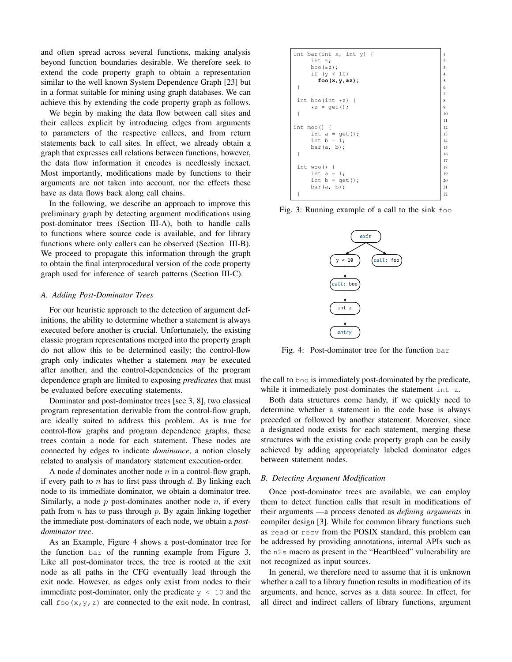and often spread across several functions, making analysis beyond function boundaries desirable. We therefore seek to extend the code property graph to obtain a representation similar to the well known System Dependence Graph [23] but in a format suitable for mining using graph databases. We can achieve this by extending the code property graph as follows.

We begin by making the data flow between call sites and their callees explicit by introducing edges from arguments to parameters of the respective callees, and from return statements back to call sites. In effect, we already obtain a graph that expresses call relations between functions, however, the data flow information it encodes is needlessly inexact. Most importantly, modifications made by functions to their arguments are not taken into account, nor the effects these have as data flows back along call chains.

In the following, we describe an approach to improve this preliminary graph by detecting argument modifications using post-dominator trees (Section III-A), both to handle calls to functions where source code is available, and for library functions where only callers can be observed (Section III-B). We proceed to propagate this information through the graph to obtain the final interprocedural version of the code property graph used for inference of search patterns (Section III-C).

#### *A. Adding Post-Dominator Trees*

For our heuristic approach to the detection of argument definitions, the ability to determine whether a statement is always executed before another is crucial. Unfortunately, the existing classic program representations merged into the property graph do not allow this to be determined easily; the control-flow graph only indicates whether a statement *may* be executed after another, and the control-dependencies of the program dependence graph are limited to exposing *predicates* that must be evaluated before executing statements.

Dominator and post-dominator trees [see 3, 8], two classical program representation derivable from the control-flow graph, are ideally suited to address this problem. As is true for control-flow graphs and program dependence graphs, these trees contain a node for each statement. These nodes are connected by edges to indicate *dominance*, a notion closely related to analysis of mandatory statement execution-order.

A node d dominates another node n in a control-flow graph, if every path to  $n$  has to first pass through  $d$ . By linking each node to its immediate dominator, we obtain a dominator tree. Similarly, a node  $p$  post-dominates another node  $n$ , if every path from  $n$  has to pass through  $p$ . By again linking together the immediate post-dominators of each node, we obtain a *postdominator tree*.

As an Example, Figure 4 shows a post-dominator tree for the function bar of the running example from Figure 3. Like all post-dominator trees, the tree is rooted at the exit node as all paths in the CFG eventually lead through the exit node. However, as edges only exist from nodes to their immediate post-dominator, only the predicate  $y < 10$  and the call  $f \circ \circ (x, y, z)$  are connected to the exit node. In contrast,

int bar(int x, int y) { 1 int z; 2 boo(&z); 3 if (y < 10) 4 **foo(x,y,&z);** 5 } 6 7 int boo(int \*z) { <sup>8</sup> \*z = get(); <sup>9</sup> } 10 11 int moo() { 12 int a = get(); 13 int b = 1; 14 bar(a, b); 15 } 16 17 int woo() { 18 int a = 1; 19 int b = get(); 20 bar(a, b); 21 } 22

Fig. 3: Running example of a call to the sink foo



Fig. 4: Post-dominator tree for the function bar

the call to boo is immediately post-dominated by the predicate, while it immediately post-dominates the statement int z.

Both data structures come handy, if we quickly need to determine whether a statement in the code base is always preceded or followed by another statement. Moreover, since a designated node exists for each statement, merging these structures with the existing code property graph can be easily achieved by adding appropriately labeled dominator edges between statement nodes.

#### *B. Detecting Argument Modification*

Once post-dominator trees are available, we can employ them to detect function calls that result in modifications of their arguments —a process denoted as *defining arguments* in compiler design [3]. While for common library functions such as read or recv from the POSIX standard, this problem can be addressed by providing annotations, internal APIs such as the n2s macro as present in the "Heartbleed" vulnerability are not recognized as input sources.

In general, we therefore need to assume that it is unknown whether a call to a library function results in modification of its arguments, and hence, serves as a data source. In effect, for all direct and indirect callers of library functions, argument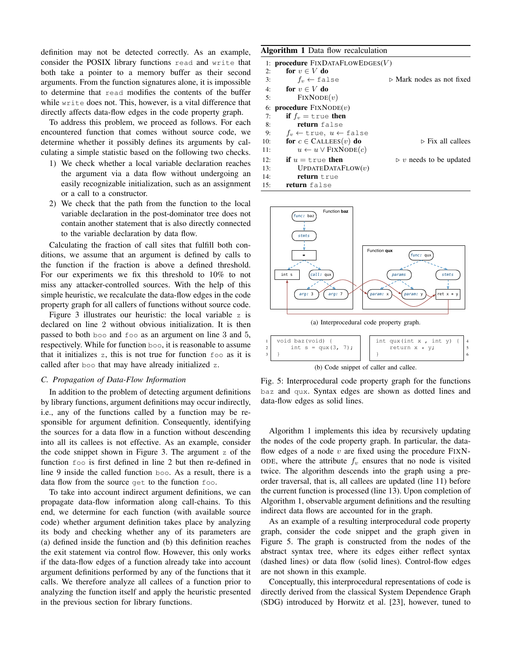definition may not be detected correctly. As an example, consider the POSIX library functions read and write that both take a pointer to a memory buffer as their second arguments. From the function signatures alone, it is impossible to determine that read modifies the contents of the buffer while write does not. This, however, is a vital difference that directly affects data-flow edges in the code property graph.

To address this problem, we proceed as follows. For each encountered function that comes without source code, we determine whether it possibly defines its arguments by calculating a simple statistic based on the following two checks.

- 1) We check whether a local variable declaration reaches the argument via a data flow without undergoing an easily recognizable initialization, such as an assignment or a call to a constructor.
- 2) We check that the path from the function to the local variable declaration in the post-dominator tree does not contain another statement that is also directly connected to the variable declaration by data flow.

Calculating the fraction of call sites that fulfill both conditions, we assume that an argument is defined by calls to the function if the fraction is above a defined threshold. For our experiments we fix this threshold to 10% to not miss any attacker-controlled sources. With the help of this simple heuristic, we recalculate the data-flow edges in the code property graph for all callers of functions without source code.

Figure 3 illustrates our heuristic: the local variable z is declared on line 2 without obvious initialization. It is then passed to both boo and foo as an argument on line 3 and 5, respectively. While for function boo, it is reasonable to assume that it initializes z, this is not true for function foo as it is called after boo that may have already initialized z.

#### *C. Propagation of Data-Flow Information*

In addition to the problem of detecting argument definitions by library functions, argument definitions may occur indirectly, i.e., any of the functions called by a function may be responsible for argument definition. Consequently, identifying the sources for a data flow in a function without descending into all its callees is not effective. As an example, consider the code snippet shown in Figure 3. The argument z of the function foo is first defined in line 2 but then re-defined in line 9 inside the called function boo. As a result, there is a data flow from the source get to the function foo.

To take into account indirect argument definitions, we can propagate data-flow information along call-chains. To this end, we determine for each function (with available source code) whether argument definition takes place by analyzing its body and checking whether any of its parameters are (a) defined inside the function and (b) this definition reaches the exit statement via control flow. However, this only works if the data-flow edges of a function already take into account argument definitions performed by any of the functions that it calls. We therefore analyze all callees of a function prior to analyzing the function itself and apply the heuristic presented in the previous section for library functions.

|     | <b>Algorithm 1</b> Data flow recalculation              |                                        |
|-----|---------------------------------------------------------|----------------------------------------|
|     | 1: procedure $Fix$ DATA $F$ LOW $E$ DGES $(V)$          |                                        |
| 2:  | for $v \in V$ do                                        |                                        |
| 3:  | $f_v \leftarrow false$                                  | ⊳ Mark nodes as not fixed              |
| 4:  | for $v \in V$ do                                        |                                        |
| 5:  | FixNODE(v)                                              |                                        |
|     | 6: <b>procedure</b> $Fix \text{NODE}(v)$                |                                        |
| 7:  | if $f_v = \text{true}$ then                             |                                        |
| 8:  | return false                                            |                                        |
| 9:  | $f_v \leftarrow \text{true}, u \leftarrow \text{false}$ |                                        |
| 10: | for $c \in$ CALLEES $(v)$ do                            | $\triangleright$ Fix all callees       |
| 11: | $u \leftarrow u \vee$ FIXNODE $(c)$                     |                                        |
| 12: | <b>if</b> $u = \text{true}$ then                        | $\triangleright$ v needs to be updated |
| 13: | UPDATEDATAFlow(v)                                       |                                        |
| 14: | <b>return</b> true                                      |                                        |
| 15: | return false                                            |                                        |



(a) Interprocedural code property graph.



Fig. 5: Interprocedural code property graph for the functions baz and qux. Syntax edges are shown as dotted lines and data-flow edges as solid lines.

Algorithm 1 implements this idea by recursively updating the nodes of the code property graph. In particular, the dataflow edges of a node  $v$  are fixed using the procedure FIXN-ODE, where the attribute  $f_v$  ensures that no node is visited twice. The algorithm descends into the graph using a preorder traversal, that is, all callees are updated (line 11) before the current function is processed (line 13). Upon completion of Algorithm 1, observable argument definitions and the resulting indirect data flows are accounted for in the graph.

As an example of a resulting interprocedural code property graph, consider the code snippet and the graph given in Figure 5. The graph is constructed from the nodes of the abstract syntax tree, where its edges either reflect syntax (dashed lines) or data flow (solid lines). Control-flow edges are not shown in this example.

Conceptually, this interprocedural representations of code is directly derived from the classical System Dependence Graph (SDG) introduced by Horwitz et al. [23], however, tuned to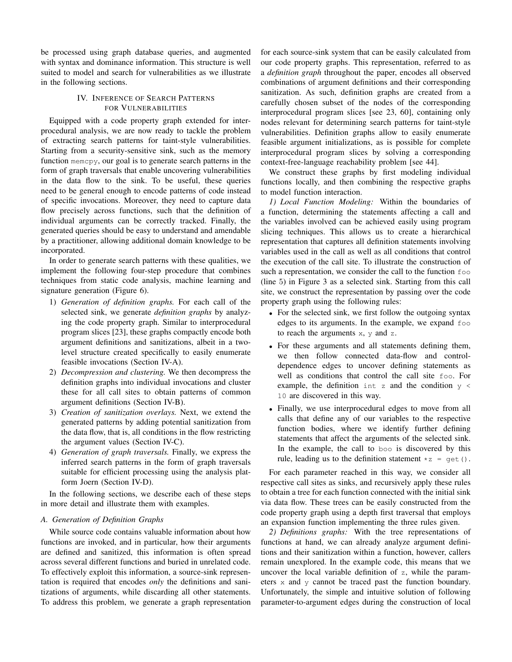be processed using graph database queries, and augmented with syntax and dominance information. This structure is well suited to model and search for vulnerabilities as we illustrate in the following sections.

# IV. INFERENCE OF SEARCH PATTERNS FOR VULNERABILITIES

Equipped with a code property graph extended for interprocedural analysis, we are now ready to tackle the problem of extracting search patterns for taint-style vulnerabilities. Starting from a security-sensitive sink, such as the memory function memcpy, our goal is to generate search patterns in the form of graph traversals that enable uncovering vulnerabilities in the data flow to the sink. To be useful, these queries need to be general enough to encode patterns of code instead of specific invocations. Moreover, they need to capture data flow precisely across functions, such that the definition of individual arguments can be correctly tracked. Finally, the generated queries should be easy to understand and amendable by a practitioner, allowing additional domain knowledge to be incorporated.

In order to generate search patterns with these qualities, we implement the following four-step procedure that combines techniques from static code analysis, machine learning and signature generation (Figure 6).

- 1) *Generation of definition graphs.* For each call of the selected sink, we generate *definition graphs* by analyzing the code property graph. Similar to interprocedural program slices [23], these graphs compactly encode both argument definitions and sanitizations, albeit in a twolevel structure created specifically to easily enumerate feasible invocations (Section IV-A).
- 2) *Decompression and clustering.* We then decompress the definition graphs into individual invocations and cluster these for all call sites to obtain patterns of common argument definitions (Section IV-B).
- 3) *Creation of sanitization overlays.* Next, we extend the generated patterns by adding potential sanitization from the data flow, that is, all conditions in the flow restricting the argument values (Section IV-C).
- 4) *Generation of graph traversals.* Finally, we express the inferred search patterns in the form of graph traversals suitable for efficient processing using the analysis platform Joern (Section IV-D).

In the following sections, we describe each of these steps in more detail and illustrate them with examples.

# *A. Generation of Definition Graphs*

While source code contains valuable information about how functions are invoked, and in particular, how their arguments are defined and sanitized, this information is often spread across several different functions and buried in unrelated code. To effectively exploit this information, a source-sink representation is required that encodes *only* the definitions and sanitizations of arguments, while discarding all other statements. To address this problem, we generate a graph representation for each source-sink system that can be easily calculated from our code property graphs. This representation, referred to as a *definition graph* throughout the paper, encodes all observed combinations of argument definitions and their corresponding sanitization. As such, definition graphs are created from a carefully chosen subset of the nodes of the corresponding interprocedural program slices [see 23, 60], containing only nodes relevant for determining search patterns for taint-style vulnerabilities. Definition graphs allow to easily enumerate feasible argument initializations, as is possible for complete interprocedural program slices by solving a corresponding context-free-language reachability problem [see 44].

We construct these graphs by first modeling individual functions locally, and then combining the respective graphs to model function interaction.

*1) Local Function Modeling:* Within the boundaries of a function, determining the statements affecting a call and the variables involved can be achieved easily using program slicing techniques. This allows us to create a hierarchical representation that captures all definition statements involving variables used in the call as well as all conditions that control the execution of the call site. To illustrate the construction of such a representation, we consider the call to the function foo (line 5) in Figure 3 as a selected sink. Starting from this call site, we construct the representation by passing over the code property graph using the following rules:

- For the selected sink, we first follow the outgoing syntax edges to its arguments. In the example, we expand foo to reach the arguments  $x, y$  and  $z$ .
- For these arguments and all statements defining them, we then follow connected data-flow and controldependence edges to uncover defining statements as well as conditions that control the call site foo. For example, the definition int z and the condition  $y \leq$ 10 are discovered in this way.
- Finally, we use interprocedural edges to move from all calls that define any of our variables to the respective function bodies, where we identify further defining statements that affect the arguments of the selected sink. In the example, the call to boo is discovered by this rule, leading us to the definition statement  $\star z = \text{get}()$ .

For each parameter reached in this way, we consider all respective call sites as sinks, and recursively apply these rules to obtain a tree for each function connected with the initial sink via data flow. These trees can be easily constructed from the code property graph using a depth first traversal that employs an expansion function implementing the three rules given.

*2) Definitions graphs:* With the tree representations of functions at hand, we can already analyze argument definitions and their sanitization within a function, however, callers remain unexplored. In the example code, this means that we uncover the local variable definition of z, while the parameters x and y cannot be traced past the function boundary. Unfortunately, the simple and intuitive solution of following parameter-to-argument edges during the construction of local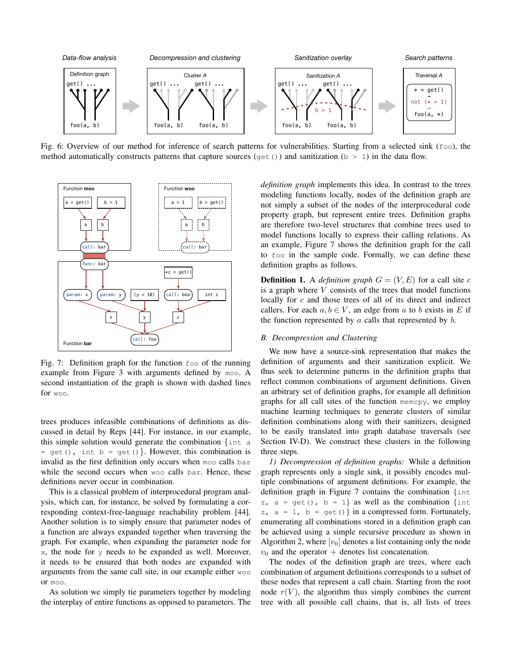

Fig. 6: Overview of our method for inference of search patterns for vulnerabilities. Starting from a selected sink ( $f \circ \circ$ ), the method automatically constructs patterns that capture sources (get()) and sanitization ( $b > 1$ ) in the data flow.



Fig. 7: Definition graph for the function foo of the running example from Figure 3 with arguments defined by moo. A second instantiation of the graph is shown with dashed lines for woo.

trees produces infeasible combinations of definitions as discussed in detail by Reps [44]. For instance, in our example, this simple solution would generate the combination {int a  $=$  get(), int b = get(). However, this combination is invalid as the first definition only occurs when moo calls bar while the second occurs when woo calls bar. Hence, these definitions never occur in combination.

This is a classical problem of interprocedural program analysis, which can, for instance, be solved by formulating a corresponding context-free-language reachability problem [44]. Another solution is to simply ensure that parameter nodes of a function are always expanded together when traversing the graph. For example, when expanding the parameter node for  $x$ , the node for  $y$  needs to be expanded as well. Moreover, it needs to be ensured that both nodes are expanded with arguments from the same call site, in our example either woo or moo.

As solution we simply tie parameters together by modeling the interplay of entire functions as opposed to parameters. The *definition graph* implements this idea. In contrast to the trees modeling functions locally, nodes of the definition graph are not simply a subset of the nodes of the interprocedural code property graph, but represent entire trees. Definition graphs are therefore two-level structures that combine trees used to model functions locally to express their calling relations. As an example, Figure 7 shows the definition graph for the call to foo in the sample code. Formally, we can define these definition graphs as follows.

**Definition 1.** A *definition graph*  $G = (V, E)$  for a call site c is a graph where  $V$  consists of the trees that model functions locally for c and those trees of all of its direct and indirect callers. For each  $a, b \in V$ , an edge from a to b exists in E if the function represented by  $a$  calls that represented by  $b$ .

## *B. Decompression and Clustering*

We now have a source-sink representation that makes the definition of arguments and their sanitization explicit. We thus seek to determine patterns in the definition graphs that reflect common combinations of argument definitions. Given an arbitrary set of definition graphs, for example all definition graphs for all call sites of the function memcpy, we employ machine learning techniques to generate clusters of similar definition combinations along with their sanitizers, designed to be easily translated into graph database traversals (see Section IV-D). We construct these clusters in the following three steps.

*1) Decompression of definition graphs:* While a definition graph represents only a single sink, it possibly encodes multiple combinations of argument definitions. For example, the definition graph in Figure 7 contains the combination {int z,  $a = get()$ ,  $b = 1$  as well as the combination {int z,  $a = 1$ ,  $b = get()$  in a compressed form. Fortunately, enumerating all combinations stored in a definition graph can be achieved using a simple recursive procedure as shown in Algorithm 2, where  $[v_0]$  denotes a list containing only the node  $v_0$  and the operator + denotes list concatenation.

The nodes of the definition graph are trees, where each combination of argument definitions corresponds to a subset of these nodes that represent a call chain. Starting from the root node  $r(V)$ , the algorithm thus simply combines the current tree with all possible call chains, that is, all lists of trees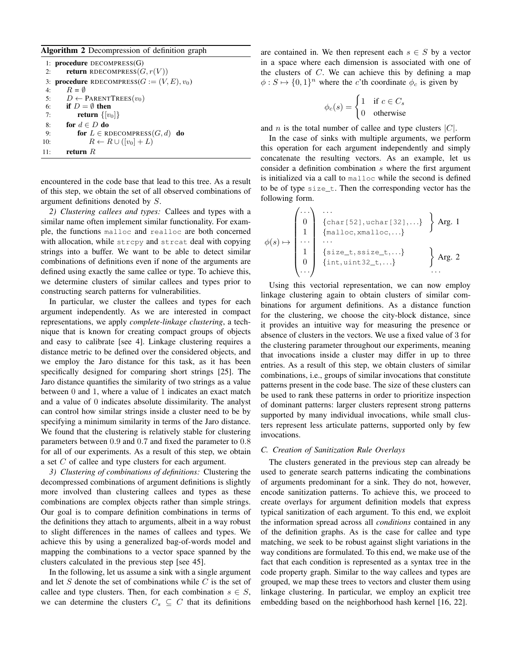## Algorithm 2 Decompression of definition graph

| 2:  | 1: <b>procedure</b> DECOMPRESS $(G)$<br><b>return</b> RDECOMPRESS $(G, r(V))$ |
|-----|-------------------------------------------------------------------------------|
|     | 3: <b>procedure</b> RDECOMPRESS( $G := (V, E), v_0$ )                         |
| 4:  | $R = \emptyset$                                                               |
| 5:  | $D \leftarrow$ PARENTTREES $(v_0)$                                            |
| 6:  | if $D = \emptyset$ then                                                       |
| 7:  | return $\{v_0\}$                                                              |
| 8:  | for $d \in D$ do                                                              |
| 9:  | for $L \in RDECOMPRESS(G, d)$ do                                              |
| 10: | $R \leftarrow R \cup (v_0] + L$                                               |
| 11: | return $R$                                                                    |

encountered in the code base that lead to this tree. As a result of this step, we obtain the set of all observed combinations of argument definitions denoted by S.

*2) Clustering callees and types:* Callees and types with a similar name often implement similar functionality. For example, the functions malloc and realloc are both concerned with allocation, while strepy and streat deal with copying strings into a buffer. We want to be able to detect similar combinations of definitions even if none of the arguments are defined using exactly the same callee or type. To achieve this, we determine clusters of similar callees and types prior to constructing search patterns for vulnerabilities.

In particular, we cluster the callees and types for each argument independently. As we are interested in compact representations, we apply *complete-linkage clustering*, a technique that is known for creating compact groups of objects and easy to calibrate [see 4]. Linkage clustering requires a distance metric to be defined over the considered objects, and we employ the Jaro distance for this task, as it has been specifically designed for comparing short strings [25]. The Jaro distance quantifies the similarity of two strings as a value between 0 and 1, where a value of 1 indicates an exact match and a value of 0 indicates absolute dissimilarity. The analyst can control how similar strings inside a cluster need to be by specifying a minimum similarity in terms of the Jaro distance. We found that the clustering is relatively stable for clustering parameters between 0.9 and 0.7 and fixed the parameter to 0.8 for all of our experiments. As a result of this step, we obtain a set C of callee and type clusters for each argument.

*3) Clustering of combinations of definitions:* Clustering the decompressed combinations of argument definitions is slightly more involved than clustering callees and types as these combinations are complex objects rather than simple strings. Our goal is to compare definition combinations in terms of the definitions they attach to arguments, albeit in a way robust to slight differences in the names of callees and types. We achieve this by using a generalized bag-of-words model and mapping the combinations to a vector space spanned by the clusters calculated in the previous step [see 45].

In the following, let us assume a sink with a single argument and let S denote the set of combinations while  $C$  is the set of callee and type clusters. Then, for each combination  $s \in S$ , we can determine the clusters  $C_s \subseteq C$  that its definitions are contained in. We then represent each  $s \in S$  by a vector in a space where each dimension is associated with one of the clusters of  $C$ . We can achieve this by defining a map  $\phi: S \mapsto \{0, 1\}^n$  where the c'th coordinate  $\phi_c$  is given by

$$
\phi_c(s) = \begin{cases} 1 & \text{if } c \in C_s \\ 0 & \text{otherwise} \end{cases}
$$

and *n* is the total number of callee and type clusters  $|C|$ .

In the case of sinks with multiple arguments, we perform this operation for each argument independently and simply concatenate the resulting vectors. As an example, let us consider a definition combination s where the first argument is initialized via a call to malloc while the second is defined to be of type size\_t. Then the corresponding vector has the following form.

$$
\phi(s) \mapsto \begin{pmatrix} \cdots & \cdots & \cdots \\ 0 & \{\text{char}[52], \text{uchar}[32], \cdots\} \\ 1 & \{\text{malloc}, \text{smalloc}, \cdots\} \\ \cdots & \cdots & \cdots \\ 1 & \{\text{size}_-, \text{ssize}_-, \cdots\} \\ 0 & \{\text{int}, \text{uint32}_-, \cdots\} \end{pmatrix} \text{Arg. 2}
$$

Using this vectorial representation, we can now employ linkage clustering again to obtain clusters of similar combinations for argument definitions. As a distance function for the clustering, we choose the city-block distance, since it provides an intuitive way for measuring the presence or absence of clusters in the vectors. We use a fixed value of 3 for the clustering parameter throughout our experiments, meaning that invocations inside a cluster may differ in up to three entries. As a result of this step, we obtain clusters of similar combinations, i.e., groups of similar invocations that constitute patterns present in the code base. The size of these clusters can be used to rank these patterns in order to prioritize inspection of dominant patterns: larger clusters represent strong patterns supported by many individual invocations, while small clusters represent less articulate patterns, supported only by few invocations.

## *C. Creation of Sanitization Rule Overlays*

The clusters generated in the previous step can already be used to generate search patterns indicating the combinations of arguments predominant for a sink. They do not, however, encode sanitization patterns. To achieve this, we proceed to create overlays for argument definition models that express typical sanitization of each argument. To this end, we exploit the information spread across all *conditions* contained in any of the definition graphs. As is the case for callee and type matching, we seek to be robust against slight variations in the way conditions are formulated. To this end, we make use of the fact that each condition is represented as a syntax tree in the code property graph. Similar to the way callees and types are grouped, we map these trees to vectors and cluster them using linkage clustering. In particular, we employ an explicit tree embedding based on the neighborhood hash kernel [16, 22].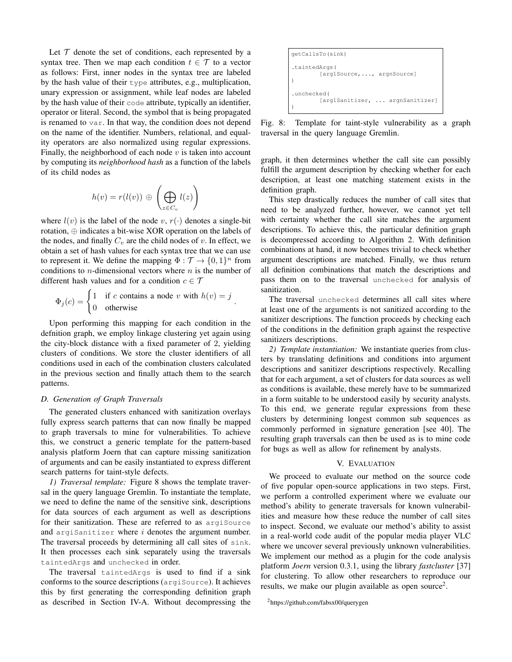Let  $\mathcal T$  denote the set of conditions, each represented by a syntax tree. Then we map each condition  $t \in \mathcal{T}$  to a vector as follows: First, inner nodes in the syntax tree are labeled by the hash value of their type attributes, e.g., multiplication, unary expression or assignment, while leaf nodes are labeled by the hash value of their code attribute, typically an identifier, operator or literal. Second, the symbol that is being propagated is renamed to var. In that way, the condition does not depend on the name of the identifier. Numbers, relational, and equality operators are also normalized using regular expressions. Finally, the neighborhood of each node  $v$  is taken into account by computing its *neighborhood hash* as a function of the labels of its child nodes as

$$
h(v) = r(l(v)) \oplus \left(\bigoplus_{z \in C_v} l(z)\right)
$$

where  $l(v)$  is the label of the node v,  $r(\cdot)$  denotes a single-bit rotation, ⊕ indicates a bit-wise XOR operation on the labels of the nodes, and finally  $C_v$  are the child nodes of v. In effect, we obtain a set of hash values for each syntax tree that we can use to represent it. We define the mapping  $\Phi : \mathcal{T} \to \{0, 1\}^n$  from conditions to  $n$ -dimensional vectors where  $n$  is the number of different hash values and for a condition  $c \in \mathcal{T}$ 

$$
\Phi_j(c) = \begin{cases} 1 & \text{if } c \text{ contains a node } v \text{ with } h(v) = j \\ 0 & \text{otherwise} \end{cases}
$$

.

Upon performing this mapping for each condition in the defnition graph, we employ linkage clustering yet again using the city-block distance with a fixed parameter of 2, yielding clusters of conditions. We store the cluster identifiers of all conditions used in each of the combination clusters calculated in the previous section and finally attach them to the search patterns.

## *D. Generation of Graph Traversals*

The generated clusters enhanced with sanitization overlays fully express search patterns that can now finally be mapped to graph traversals to mine for vulnerabilities. To achieve this, we construct a generic template for the pattern-based analysis platform Joern that can capture missing sanitization of arguments and can be easily instantiated to express different search patterns for taint-style defects.

*1) Traversal template:* Figure 8 shows the template traversal in the query language Gremlin. To instantiate the template, we need to define the name of the sensitive sink, descriptions for data sources of each argument as well as descriptions for their sanitization. These are referred to as argisource and argiSanitizer where  $i$  denotes the argument number. The traversal proceeds by determining all call sites of sink. It then processes each sink separately using the traversals taintedArgs and unchecked in order.

The traversal taintedArgs is used to find if a sink conforms to the source descriptions (argiSource). It achieves this by first generating the corresponding definition graph as described in Section IV-A. Without decompressing the

getCallsTo(sink) .taintedArgs( [arg1Source,..., argnSource] ) .unchecked( [arg1Sanitizer, ... argnSanitizer] )

Fig. 8: Template for taint-style vulnerability as a graph traversal in the query language Gremlin.

graph, it then determines whether the call site can possibly fulfill the argument description by checking whether for each description, at least one matching statement exists in the definition graph.

This step drastically reduces the number of call sites that need to be analyzed further, however, we cannot yet tell with certainty whether the call site matches the argument descriptions. To achieve this, the particular definition graph is decompressed according to Algorithm 2. With definition combinations at hand, it now becomes trivial to check whether argument descriptions are matched. Finally, we thus return all definition combinations that match the descriptions and pass them on to the traversal unchecked for analysis of sanitization.

The traversal unchecked determines all call sites where at least one of the arguments is not sanitized according to the sanitizer descriptions. The function proceeds by checking each of the conditions in the definition graph against the respective sanitizers descriptions.

*2) Template instantiation:* We instantiate queries from clusters by translating definitions and conditions into argument descriptions and sanitizer descriptions respectively. Recalling that for each argument, a set of clusters for data sources as well as conditions is available, these merely have to be summarized in a form suitable to be understood easily by security analysts. To this end, we generate regular expressions from these clusters by determining longest common sub sequences as commonly performed in signature generation [see 40]. The resulting graph traversals can then be used as is to mine code for bugs as well as allow for refinement by analysts.

## V. EVALUATION

We proceed to evaluate our method on the source code of five popular open-source applications in two steps. First, we perform a controlled experiment where we evaluate our method's ability to generate traversals for known vulnerabilities and measure how these reduce the number of call sites to inspect. Second, we evaluate our method's ability to assist in a real-world code audit of the popular media player VLC where we uncover several previously unknown vulnerabilities. We implement our method as a plugin for the code analysis platform *Joern* version 0.3.1, using the library *fastcluster* [37] for clustering. To allow other researchers to reproduce our results, we make our plugin available as open source<sup>2</sup>.

<sup>2</sup>https://github.com/fabsx00/querygen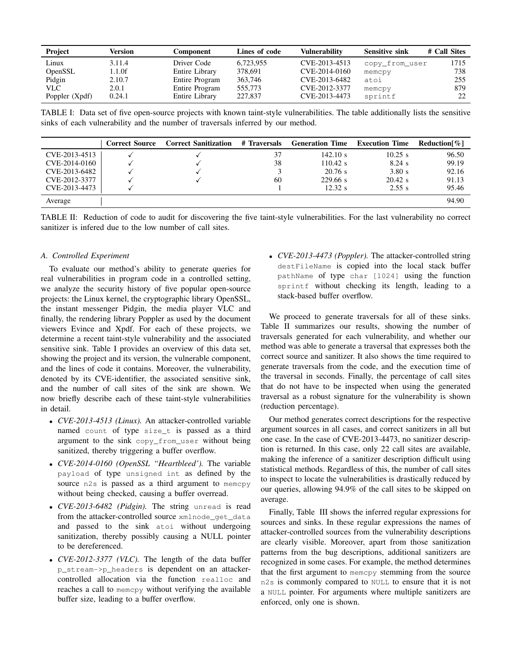| Project        | Version | Component      | Lines of code | Vulnerabilitv | <b>Sensitive sink</b> | # Call Sites |
|----------------|---------|----------------|---------------|---------------|-----------------------|--------------|
| Linux          | 3.11.4  | Driver Code    | 6,723,955     | CVE-2013-4513 | copy_from_user        | 1715         |
| OpenSSL        | 1.1.0f  | Entire Library | 378,691       | CVE-2014-0160 | memcpy                | 738          |
| Pidgin         | 2.10.7  | Entire Program | 363,746       | CVE-2013-6482 | atoi                  | 255          |
| <b>VLC</b>     | 2.0.1   | Entire Program | 555,773       | CVE-2012-3377 | memcpy                | 879          |
| Poppler (Xpdf) | 0.24.1  | Entire Library | 227,837       | CVE-2013-4473 | sprintf               | 22           |

TABLE I: Data set of five open-source projects with known taint-style vulnerabilities. The table additionally lists the sensitive sinks of each vulnerability and the number of traversals inferred by our method.

|               | <b>Correct Source</b> | <b>Correct Sanitization</b> | # Traversals | <b>Generation Time</b> | <b>Execution Time</b> | Reduction [%] |
|---------------|-----------------------|-----------------------------|--------------|------------------------|-----------------------|---------------|
| CVE-2013-4513 |                       |                             | 37           | 142.10 s               | $10.25$ s             | 96.50         |
| CVE-2014-0160 |                       |                             | 38           | $110.42$ s             | $8.24$ s              | 99.19         |
| CVE-2013-6482 |                       |                             |              | $20.76$ s              | 3.80 s                | 92.16         |
| CVE-2012-3377 |                       |                             | 60           | 229.66 s               | $20.42$ s             | 91.13         |
| CVE-2013-4473 |                       |                             |              | 12.32 s                | 2.55 s                | 95.46         |
| Average       |                       |                             |              |                        |                       | 94.90         |

TABLE II: Reduction of code to audit for discovering the five taint-style vulnerabilities. For the last vulnerability no correct sanitizer is infered due to the low number of call sites.

## *A. Controlled Experiment*

To evaluate our method's ability to generate queries for real vulnerabilities in program code in a controlled setting, we analyze the security history of five popular open-source projects: the Linux kernel, the cryptographic library OpenSSL, the instant messenger Pidgin, the media player VLC and finally, the rendering library Poppler as used by the document viewers Evince and Xpdf. For each of these projects, we determine a recent taint-style vulnerability and the associated sensitive sink. Table I provides an overview of this data set, showing the project and its version, the vulnerable component, and the lines of code it contains. Moreover, the vulnerability, denoted by its CVE-identifier, the associated sensitive sink, and the number of call sites of the sink are shown. We now briefly describe each of these taint-style vulnerabilities in detail.

- *CVE-2013-4513 (Linux).* An attacker-controlled variable named count of type size\_t is passed as a third argument to the sink copy\_from\_user without being sanitized, thereby triggering a buffer overflow.
- *CVE-2014-0160 (OpenSSL "Heartbleed').* The variable payload of type unsigned int as defined by the source n2s is passed as a third argument to memcpy without being checked, causing a buffer overread.
- *CVE-2013-6482 (Pidgin).* The string unread is read from the attacker-controlled source xmlnode\_get\_data and passed to the sink atoi without undergoing sanitization, thereby possibly causing a NULL pointer to be dereferenced.
- *CVE-2012-3377 (VLC).* The length of the data buffer p\_stream->p\_headers is dependent on an attackercontrolled allocation via the function realloc and reaches a call to memcpy without verifying the available buffer size, leading to a buffer overflow.

• *CVE-2013-4473 (Poppler).* The attacker-controlled string destFileName is copied into the local stack buffer pathName of type char [1024] using the function sprintf without checking its length, leading to a stack-based buffer overflow.

We proceed to generate traversals for all of these sinks. Table II summarizes our results, showing the number of traversals generated for each vulnerability, and whether our method was able to generate a traversal that expresses both the correct source and sanitizer. It also shows the time required to generate traversals from the code, and the execution time of the traversal in seconds. Finally, the percentage of call sites that do not have to be inspected when using the generated traversal as a robust signature for the vulnerability is shown (reduction percentage).

Our method generates correct descriptions for the respective argument sources in all cases, and correct sanitizers in all but one case. In the case of CVE-2013-4473, no sanitizer description is returned. In this case, only 22 call sites are available, making the inference of a sanitizer description difficult using statistical methods. Regardless of this, the number of call sites to inspect to locate the vulnerabilities is drastically reduced by our queries, allowing 94.9% of the call sites to be skipped on average.

Finally, Table III shows the inferred regular expressions for sources and sinks. In these regular expressions the names of attacker-controlled sources from the vulnerability descriptions are clearly visible. Moreover, apart from those sanitization patterns from the bug descriptions, additional sanitizers are recognized in some cases. For example, the method determines that the first argument to memcpy stemming from the source n2s is commonly compared to NULL to ensure that it is not a NULL pointer. For arguments where multiple sanitizers are enforced, only one is shown.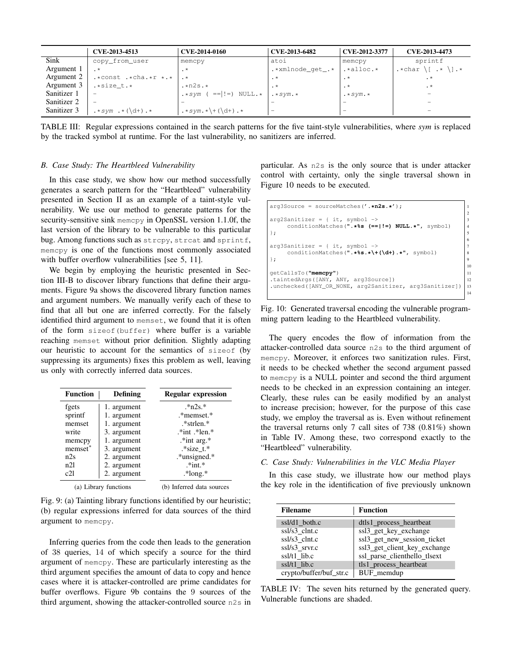|             | CVE-2013-4513                                         | CVE-2014-0160                                            | CVE-2013-6482    | CVE-2012-3377           | CVE-2013-4473                              |
|-------------|-------------------------------------------------------|----------------------------------------------------------|------------------|-------------------------|--------------------------------------------|
| Sink        | copy_from_user                                        | memcpy                                                   | atoi             | memcpy                  | sprintf                                    |
| Argument 1  |                                                       | $\cdot$ *                                                | .*xmlnode_qet_.* | $.*$ alloc. $*$         | $\cdot *$ char \[ $\cdot * \backslash$ ].* |
| Argument 2  | $.*const .*cha .*r .*$                                |                                                          | $\cdot^*$        | $\cdot$ *               | $\cdot$ *                                  |
| Argument 3  | .*size t.*                                            | $\cdot$ *n2s. *                                          | $\cdot^*$        | $\cdot$ *               | $\cdot$ *                                  |
| Sanitizer 1 | $\overline{\phantom{a}}$                              | $\cdot \cdot \cdot \cdot \cdot$ ( == ! = ) NULL. $\cdot$ | $\cdot *$ sym. * | $\cdot *$ sym $\cdot *$ |                                            |
| Sanitizer 2 | $\overline{\phantom{a}}$                              |                                                          |                  |                         | $\sim$                                     |
| Sanitizer 3 | $\cdot \cdot$ sym $\cdot \cdot (\dagger) \cdot \cdot$ |                                                          | -                | $\sim$                  |                                            |

TABLE III: Regular expressions contained in the search patterns for the five taint-style vulnerabilities, where *sym* is replaced by the tracked symbol at runtime. For the last vulnerability, no sanitizers are inferred.

## *B. Case Study: The Heartbleed Vulnerability*

In this case study, we show how our method successfully generates a search pattern for the "Heartbleed" vulnerability presented in Section II as an example of a taint-style vulnerability. We use our method to generate patterns for the security-sensitive sink memcpy in OpenSSL version 1.1.0f, the last version of the library to be vulnerable to this particular bug. Among functions such as strcpy, strcat and sprintf, memcpy is one of the functions most commonly associated with buffer overflow vulnerabilities [see 5, 11].

We begin by employing the heuristic presented in Section III-B to discover library functions that define their arguments. Figure 9a shows the discovered library function names and argument numbers. We manually verify each of these to find that all but one are inferred correctly. For the falsely identified third argument to memset, we found that it is often of the form sizeof(buffer) where buffer is a variable reaching memset without prior definition. Slightly adapting our heuristic to account for the semantics of sizeof (by suppressing its arguments) fixes this problem as well, leaving us only with correctly inferred data sources.

| <b>Function</b><br>Defining        |             | <b>Regular expression</b> |
|------------------------------------|-------------|---------------------------|
| fgets                              | 1. argument | $*n2s.*$                  |
| sprintf                            | 1. argument | .*memset.*                |
| memset                             | 1. argument | *strlen.*                 |
| write                              | 3. argument | $*int$ - $*len.*$         |
| memcpy                             | 1. argument | $.*$ int arg. $*$         |
| memset <sup>*</sup><br>3. argument |             | $.* size t.*$             |
| n2s<br>2. argument                 |             | *unsigned.*               |
| n2l                                | 2. argument | $*int.*$                  |
| c2l                                | 2. argument | $*$ long. $*$             |
| (a) Library functions              |             | (b) Inferred data sources |

Fig. 9: (a) Tainting library functions identified by our heuristic; (b) regular expressions inferred for data sources of the third argument to memcpy.

Inferring queries from the code then leads to the generation of 38 queries, 14 of which specify a source for the third argument of memcpy. These are particularly interesting as the third argument specifies the amount of data to copy and hence cases where it is attacker-controlled are prime candidates for buffer overflows. Figure 9b contains the 9 sources of the third argument, showing the attacker-controlled source n2s in

particular. As n2s is the only source that is under attacker control with certainty, only the single traversal shown in Figure 10 needs to be executed.

```
arg3Source = sourceMatches('.*n2s.*'); 1
                                       2
arg2Sanitizer = { it, symbol ->}conditionMatches(".*%s (==|!=) NULL.*", symbol) 4
}; 5
                                       6
arg3Sanitizer = { it, symbol ->}conditionMatches(".*%s.*\+(\d+).*", symbol) 8
}; 9
                                       10
getCallsTo("memcpy") 11
.taintedArgs([ANY, ANY, arg3Source]) | 12
.unchecked([ANY_OR_NONE, arg2Sanitizer, arg3Sanitizer]) 13
                                       14
```
Fig. 10: Generated traversal encoding the vulnerable programming pattern leading to the Heartbleed vulnerability.

The query encodes the flow of information from the attacker-controlled data source n2s to the third argument of memcpy. Moreover, it enforces two sanitization rules. First, it needs to be checked whether the second argument passed to memcpy is a NULL pointer and second the third argument needs to be checked in an expression containing an integer. Clearly, these rules can be easily modified by an analyst to increase precision; however, for the purpose of this case study, we employ the traversal as is. Even without refinement the traversal returns only 7 call sites of 738 (0.81%) shown in Table IV. Among these, two correspond exactly to the "Heartbleed" vulnerability.

## *C. Case Study: Vulnerabilities in the VLC Media Player*

In this case study, we illustrate how our method plays the key role in the identification of five previously unknown

| <b>Filename</b>         | <b>Function</b>              |
|-------------------------|------------------------------|
| ssl/d1 both.c           | dtls1_process_heartbeat      |
| ssl/s3 clnt.c           | ssl3 get key exchange        |
| ssl/s3_clnt.c           | ssl3_get_new_session_ticket  |
| ssl/s3_srvr.c           | ssl3_get_client_key_exchange |
| ssl/t1 lib.c            | ssl_parse_clienthello_tlsext |
| ssl/t1 lib.c            | tls1_process_heartbeat       |
| crypto/buffer/buf_str.c | BUF_memdup                   |

TABLE IV: The seven hits returned by the generated query. Vulnerable functions are shaded.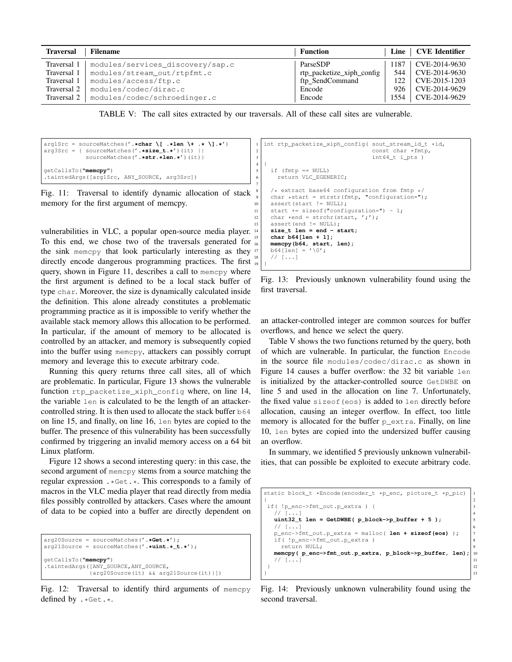| <b>Traversal</b> | <b>Filename</b>                  | <b>Function</b>           | Line | <b>CVE Identifier</b> |
|------------------|----------------------------------|---------------------------|------|-----------------------|
| Traversal 1      | modules/services_discovery/sap.c | ParseSDP                  | 1187 | CVE-2014-9630         |
| Traversal 1      | modules/stream_out/rtpfmt.c      | rtp_packetize_xiph_config | 544  | CVE-2014-9630         |
| Traversal 1      | modules/access/ftp.c             | ftp_SendCommand           | 122  | CVE-2015-1203         |
| Traversal 2      | modules/codec/dirac.c            | Encode                    | 926  | CVE-2014-9629         |
| Traversal 2      | modules/codec/schroedinger.c     | Encode                    | 1554 | CVE-2014-9629         |

TABLE V: The call sites extracted by our traversals. All of these call sites are vulnerable.

```
arg1Src = sourceMatches('.*char \[ .*len \+ .* \].*')
arg3Src = { sourceMatches('.*size_t.*')(it) ||
           sourceMatches('.*str.*len.*')(it)}
getCallsTo("memcpy")
.taintedArgs([arg1Src, ANY_SOURCE, arg3Src])
```
Fig. 11: Traversal to identify dynamic allocation of stack memory for the first argument of memcpy.

vulnerabilities in VLC, a popular open-source media player. To this end, we chose two of the traversals generated for the sink memcpy that look particularly interesting as they <sup>17</sup> directly encode dangerous programming practices. The first query, shown in Figure 11, describes a call to memcpy where the first argument is defined to be a local stack buffer of type char. Moreover, the size is dynamically calculated inside the definition. This alone already constitutes a problematic programming practice as it is impossible to verify whether the available stack memory allows this allocation to be performed. In particular, if the amount of memory to be allocated is controlled by an attacker, and memory is subsequently copied into the buffer using memcpy, attackers can possibly corrupt memory and leverage this to execute arbitrary code.

Running this query returns three call sites, all of which are problematic. In particular, Figure 13 shows the vulnerable function rtp\_packetize\_xiph\_config where, on line 14, the variable len is calculated to be the length of an attackercontrolled string. It is then used to allocate the stack buffer  $b64$ on line 15, and finally, on line 16, len bytes are copied to the buffer. The presence of this vulnerability has been successfully confirmed by triggering an invalid memory access on a 64 bit Linux platform.

Figure 12 shows a second interesting query: in this case, the second argument of memcpy stems from a source matching the regular expression .\*Get.\*. This corresponds to a family of macros in the VLC media player that read directly from media files possibly controlled by attackers. Cases where the amount of data to be copied into a buffer are directly dependent on

```
arg20Source = sourceMatches('.*Get.*');
arg21Source = sourceMatches('.*uint.*_t.*');
getCallsTo("memcpy")
.taintedArgs([ANY_SOURCE,ANY_SOURCE,
             {arg20Source(it) && arg21Source(it)}])
```
Fig. 12: Traversal to identify third arguments of memcpy defined by .\*Get.\*.

```
1 int rtp_packetize_xiph_config( sout_stream_id_t *id,<br>const char *fmtp,
                                      const char *fmtp,
\left| \begin{array}{c} 3 \\ 4 \end{array} \right| int64_t i_pts )
   4 {
5 if (fmtp == NULL)
6 return VLC EGENERIC;
7
8 /* extract base64 configuration from fmtp */
     char *start = strstr(fmtp, "configuration=");
10 assert(start != NULL);
11 start += sizeof("configuration=") - 1;
12 char *end = strchr(start, ';');<br>assert (end '= NULL):
     assert(end != NIII.L):size_t len = end - start;
     15 char b64[len + 1];
16 memcpy(b64, start, len);
17 \mid b64[len] = ' \0';1/ [...]
19 }
```
Fig. 13: Previously unknown vulnerability found using the first traversal.

an attacker-controlled integer are common sources for buffer overflows, and hence we select the query.

Table V shows the two functions returned by the query, both of which are vulnerable. In particular, the function Encode in the source file modules/codec/dirac.c as shown in Figure 14 causes a buffer overflow: the 32 bit variable len is initialized by the attacker-controlled source GetDWBE on line 5 and used in the allocation on line 7. Unfortunately, the fixed value sizeof(eos) is added to len directly before allocation, causing an integer overflow. In effect, too little memory is allocated for the buffer  $p_{\text{extra}}$ . Finally, on line 10, len bytes are copied into the undersized buffer causing an overflow.

In summary, we identified 5 previously unknown vulnerabilities, that can possible be exploited to execute arbitrary code.

```
static block_t *Encode(encoder_t *p_enc, picture_t *p_pic) 1
{ 2
if( !p_enc->fmt_out.p_extra ) { 3
  1/ [...]
 uint32_t len = GetDWBE( p_block \rightarrow p_buffer + 5 );
  // [...] 6
 p_enc->fmt_out.p_extra = malloc( len + sizeof(eos) ); 7
  if( !p_enc->fmt_out.p_extra ) 8
   return NULL;
 memcpy( p_enc->fmt_out.p_extra, p_block->p_buffer, len); 10
  \frac{1}{11} 11
\vert 12
\vert 13
```
Fig. 14: Previously unknown vulnerability found using the second traversal.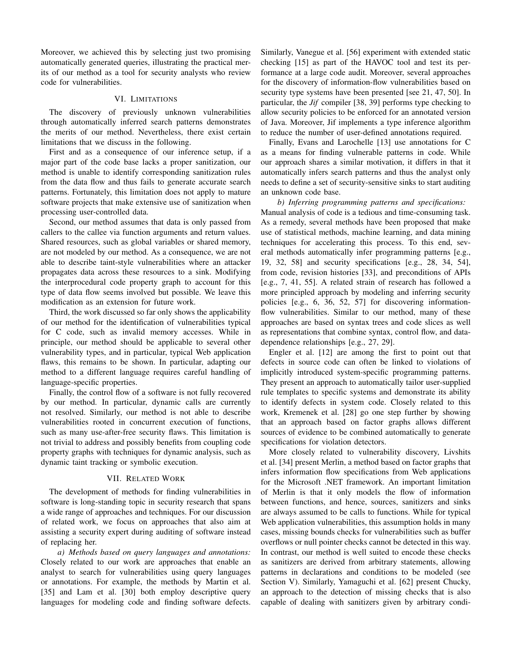Moreover, we achieved this by selecting just two promising automatically generated queries, illustrating the practical merits of our method as a tool for security analysts who review code for vulnerabilities.

## VI. LIMITATIONS

The discovery of previously unknown vulnerabilities through automatically inferred search patterns demonstrates the merits of our method. Nevertheless, there exist certain limitations that we discuss in the following.

First and as a consequence of our inference setup, if a major part of the code base lacks a proper sanitization, our method is unable to identify corresponding sanitization rules from the data flow and thus fails to generate accurate search patterns. Fortunately, this limitation does not apply to mature software projects that make extensive use of sanitization when processing user-controlled data.

Second, our method assumes that data is only passed from callers to the callee via function arguments and return values. Shared resources, such as global variables or shared memory, are not modeled by our method. As a consequence, we are not able to describe taint-style vulnerabilities where an attacker propagates data across these resources to a sink. Modifying the interprocedural code property graph to account for this type of data flow seems involved but possible. We leave this modification as an extension for future work.

Third, the work discussed so far only shows the applicability of our method for the identification of vulnerabilities typical for C code, such as invalid memory accesses. While in principle, our method should be applicable to several other vulnerability types, and in particular, typical Web application flaws, this remains to be shown. In particular, adapting our method to a different language requires careful handling of language-specific properties.

Finally, the control flow of a software is not fully recovered by our method. In particular, dynamic calls are currently not resolved. Similarly, our method is not able to describe vulnerabilities rooted in concurrent execution of functions, such as many use-after-free security flaws. This limitation is not trivial to address and possibly benefits from coupling code property graphs with techniques for dynamic analysis, such as dynamic taint tracking or symbolic execution.

## VII. RELATED WORK

The development of methods for finding vulnerabilities in software is long-standing topic in security research that spans a wide range of approaches and techniques. For our discussion of related work, we focus on approaches that also aim at assisting a security expert during auditing of software instead of replacing her.

*a) Methods based on query languages and annotations:* Closely related to our work are approaches that enable an analyst to search for vulnerabilities using query languages or annotations. For example, the methods by Martin et al. [35] and Lam et al. [30] both employ descriptive query languages for modeling code and finding software defects. Similarly, Vanegue et al. [56] experiment with extended static checking [15] as part of the HAVOC tool and test its performance at a large code audit. Moreover, several approaches for the discovery of information-flow vulnerabilities based on security type systems have been presented [see 21, 47, 50]. In particular, the *Jif* compiler [38, 39] performs type checking to allow security policies to be enforced for an annotated version of Java. Moreover, Jif implements a type inference algorithm to reduce the number of user-defined annotations required.

Finally, Evans and Larochelle [13] use annotations for C as a means for finding vulnerable patterns in code. While our approach shares a similar motivation, it differs in that it automatically infers search patterns and thus the analyst only needs to define a set of security-sensitive sinks to start auditing an unknown code base.

*b) Inferring programming patterns and specifications:* Manual analysis of code is a tedious and time-consuming task. As a remedy, several methods have been proposed that make use of statistical methods, machine learning, and data mining techniques for accelerating this process. To this end, several methods automatically infer programming patterns [e.g., 19, 32, 58] and security specifications [e.g., 28, 34, 54], from code, revision histories [33], and preconditions of APIs [e.g., 7, 41, 55]. A related strain of research has followed a more principled approach by modeling and inferring security policies [e.g., 6, 36, 52, 57] for discovering informationflow vulnerabilities. Similar to our method, many of these approaches are based on syntax trees and code slices as well as representations that combine syntax, control flow, and datadependence relationships [e.g., 27, 29].

Engler et al. [12] are among the first to point out that defects in source code can often be linked to violations of implicitly introduced system-specific programming patterns. They present an approach to automatically tailor user-supplied rule templates to specific systems and demonstrate its ability to identify defects in system code. Closely related to this work, Kremenek et al. [28] go one step further by showing that an approach based on factor graphs allows different sources of evidence to be combined automatically to generate specifications for violation detectors.

More closely related to vulnerability discovery, Livshits et al. [34] present Merlin, a method based on factor graphs that infers information flow specifications from Web applications for the Microsoft .NET framework. An important limitation of Merlin is that it only models the flow of information between functions, and hence, sources, sanitizers and sinks are always assumed to be calls to functions. While for typical Web application vulnerabilities, this assumption holds in many cases, missing bounds checks for vulnerabilities such as buffer overflows or null pointer checks cannot be detected in this way. In contrast, our method is well suited to encode these checks as sanitizers are derived from arbitrary statements, allowing patterns in declarations and conditions to be modeled (see Section V). Similarly, Yamaguchi et al. [62] present Chucky, an approach to the detection of missing checks that is also capable of dealing with sanitizers given by arbitrary condi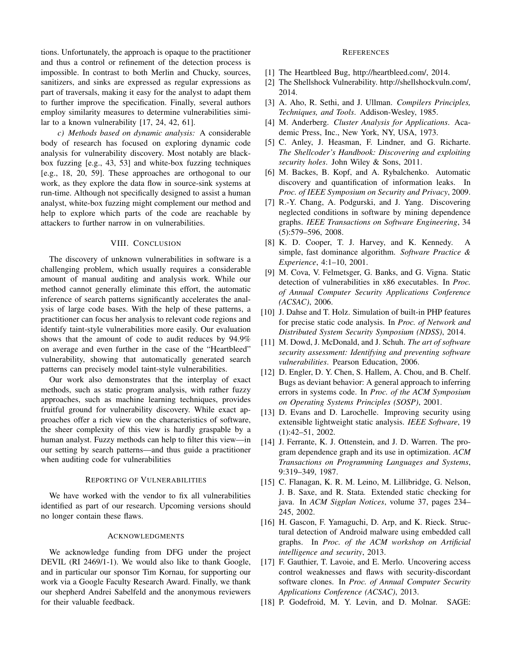tions. Unfortunately, the approach is opaque to the practitioner and thus a control or refinement of the detection process is impossible. In contrast to both Merlin and Chucky, sources, sanitizers, and sinks are expressed as regular expressions as part of traversals, making it easy for the analyst to adapt them to further improve the specification. Finally, several authors employ similarity measures to determine vulnerabilities similar to a known vulnerability [17, 24, 42, 61].

*c) Methods based on dynamic analysis:* A considerable body of research has focused on exploring dynamic code analysis for vulnerability discovery. Most notably are blackbox fuzzing [e.g., 43, 53] and white-box fuzzing techniques [e.g., 18, 20, 59]. These approaches are orthogonal to our work, as they explore the data flow in source-sink systems at run-time. Although not specifically designed to assist a human analyst, white-box fuzzing might complement our method and help to explore which parts of the code are reachable by attackers to further narrow in on vulnerabilities.

# VIII. CONCLUSION

The discovery of unknown vulnerabilities in software is a challenging problem, which usually requires a considerable amount of manual auditing and analysis work. While our method cannot generally eliminate this effort, the automatic inference of search patterns significantly accelerates the analysis of large code bases. With the help of these patterns, a practitioner can focus her analysis to relevant code regions and identify taint-style vulnerabilities more easily. Our evaluation shows that the amount of code to audit reduces by 94.9% on average and even further in the case of the "Heartbleed" vulnerability, showing that automatically generated search patterns can precisely model taint-style vulnerabilities.

Our work also demonstrates that the interplay of exact methods, such as static program analysis, with rather fuzzy approaches, such as machine learning techniques, provides fruitful ground for vulnerability discovery. While exact approaches offer a rich view on the characteristics of software, the sheer complexity of this view is hardly graspable by a human analyst. Fuzzy methods can help to filter this view—in our setting by search patterns—and thus guide a practitioner when auditing code for vulnerabilities

#### REPORTING OF VULNERABILITIES

We have worked with the vendor to fix all vulnerabilities identified as part of our research. Upcoming versions should no longer contain these flaws.

# ACKNOWLEDGMENTS

We acknowledge funding from DFG under the project DEVIL (RI 2469/1-1). We would also like to thank Google, and in particular our sponsor Tim Kornau, for supporting our work via a Google Faculty Research Award. Finally, we thank our shepherd Andrei Sabelfeld and the anonymous reviewers for their valuable feedback.

## **REFERENCES**

- [1] The Heartbleed Bug, http://heartbleed.com/, 2014.
- [2] The Shellshock Vulnerability. http://shellshockvuln.com/, 2014.
- [3] A. Aho, R. Sethi, and J. Ullman. *Compilers Principles, Techniques, and Tools*. Addison-Wesley, 1985.
- [4] M. Anderberg. *Cluster Analysis for Applications*. Academic Press, Inc., New York, NY, USA, 1973.
- [5] C. Anley, J. Heasman, F. Lindner, and G. Richarte. *The Shellcoder's Handbook: Discovering and exploiting security holes*. John Wiley & Sons, 2011.
- [6] M. Backes, B. Kopf, and A. Rybalchenko. Automatic discovery and quantification of information leaks. In *Proc. of IEEE Symposium on Security and Privacy*, 2009.
- [7] R.-Y. Chang, A. Podgurski, and J. Yang. Discovering neglected conditions in software by mining dependence graphs. *IEEE Transactions on Software Engineering*, 34 (5):579–596, 2008.
- [8] K. D. Cooper, T. J. Harvey, and K. Kennedy. A simple, fast dominance algorithm. *Software Practice & Experience*, 4:1–10, 2001.
- [9] M. Cova, V. Felmetsger, G. Banks, and G. Vigna. Static detection of vulnerabilities in x86 executables. In *Proc. of Annual Computer Security Applications Conference (ACSAC)*, 2006.
- [10] J. Dahse and T. Holz. Simulation of built-in PHP features for precise static code analysis. In *Proc. of Network and Distributed System Security Symposium (NDSS)*, 2014.
- [11] M. Dowd, J. McDonald, and J. Schuh. *The art of software security assessment: Identifying and preventing software vulnerabilities*. Pearson Education, 2006.
- [12] D. Engler, D. Y. Chen, S. Hallem, A. Chou, and B. Chelf. Bugs as deviant behavior: A general approach to inferring errors in systems code. In *Proc. of the ACM Symposium on Operating Systems Principles (SOSP)*, 2001.
- [13] D. Evans and D. Larochelle. Improving security using extensible lightweight static analysis. *IEEE Software*, 19 (1):42–51, 2002.
- [14] J. Ferrante, K. J. Ottenstein, and J. D. Warren. The program dependence graph and its use in optimization. *ACM Transactions on Programming Languages and Systems*, 9:319–349, 1987.
- [15] C. Flanagan, K. R. M. Leino, M. Lillibridge, G. Nelson, J. B. Saxe, and R. Stata. Extended static checking for java. In *ACM Sigplan Notices*, volume 37, pages 234– 245, 2002.
- [16] H. Gascon, F. Yamaguchi, D. Arp, and K. Rieck. Structural detection of Android malware using embedded call graphs. In *Proc. of the ACM workshop on Artificial intelligence and security*, 2013.
- [17] F. Gauthier, T. Lavoie, and E. Merlo. Uncovering access control weaknesses and flaws with security-discordant software clones. In *Proc. of Annual Computer Security Applications Conference (ACSAC)*, 2013.
- [18] P. Godefroid, M. Y. Levin, and D. Molnar. SAGE: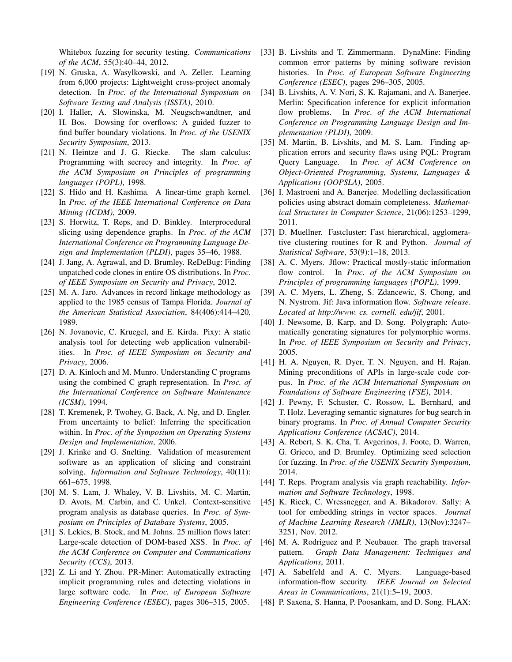Whitebox fuzzing for security testing. *Communications of the ACM*, 55(3):40–44, 2012.

- [19] N. Gruska, A. Wasylkowski, and A. Zeller. Learning from 6,000 projects: Lightweight cross-project anomaly detection. In *Proc. of the International Symposium on Software Testing and Analysis (ISSTA)*, 2010.
- [20] I. Haller, A. Slowinska, M. Neugschwandtner, and H. Bos. Dowsing for overflows: A guided fuzzer to find buffer boundary violations. In *Proc. of the USENIX Security Symposium*, 2013.
- [21] N. Heintze and J. G. Riecke. The slam calculus: Programming with secrecy and integrity. In *Proc. of the ACM Symposium on Principles of programming languages (POPL)*, 1998.
- [22] S. Hido and H. Kashima. A linear-time graph kernel. In *Proc. of the IEEE International Conference on Data Mining (ICDM)*, 2009.
- [23] S. Horwitz, T. Reps, and D. Binkley. Interprocedural slicing using dependence graphs. In *Proc. of the ACM International Conference on Programming Language Design and Implementation (PLDI)*, pages 35–46, 1988.
- [24] J. Jang, A. Agrawal, and D. Brumley. ReDeBug: Finding unpatched code clones in entire OS distributions. In *Proc. of IEEE Symposium on Security and Privacy*, 2012.
- [25] M. A. Jaro. Advances in record linkage methodology as applied to the 1985 census of Tampa Florida. *Journal of the American Statistical Association*, 84(406):414–420, 1989.
- [26] N. Jovanovic, C. Kruegel, and E. Kirda. Pixy: A static analysis tool for detecting web application vulnerabilities. In *Proc. of IEEE Symposium on Security and Privacy*, 2006.
- [27] D. A. Kinloch and M. Munro. Understanding C programs using the combined C graph representation. In *Proc. of the International Conference on Software Maintenance (ICSM)*, 1994.
- [28] T. Kremenek, P. Twohey, G. Back, A. Ng, and D. Engler. From uncertainty to belief: Inferring the specification within. In *Proc. of the Symposium on Operating Systems Design and Implementation*, 2006.
- [29] J. Krinke and G. Snelting. Validation of measurement software as an application of slicing and constraint solving. *Information and Software Technology*, 40(11): 661–675, 1998.
- [30] M. S. Lam, J. Whaley, V. B. Livshits, M. C. Martin, D. Avots, M. Carbin, and C. Unkel. Context-sensitive program analysis as database queries. In *Proc. of Symposium on Principles of Database Systems*, 2005.
- [31] S. Lekies, B. Stock, and M. Johns. 25 million flows later: Large-scale detection of DOM-based XSS. In *Proc. of the ACM Conference on Computer and Communications Security (CCS)*, 2013.
- [32] Z. Li and Y. Zhou. PR-Miner: Automatically extracting implicit programming rules and detecting violations in large software code. In *Proc. of European Software Engineering Conference (ESEC)*, pages 306–315, 2005.
- [33] B. Livshits and T. Zimmermann. DynaMine: Finding common error patterns by mining software revision histories. In *Proc. of European Software Engineering Conference (ESEC)*, pages 296–305, 2005.
- [34] B. Livshits, A. V. Nori, S. K. Rajamani, and A. Banerjee. Merlin: Specification inference for explicit information flow problems. In *Proc. of the ACM International Conference on Programming Language Design and Implementation (PLDI)*, 2009.
- [35] M. Martin, B. Livshits, and M. S. Lam. Finding application errors and security flaws using PQL: Program Query Language. In *Proc. of ACM Conference on Object-Oriented Programming, Systems, Languages & Applications (OOPSLA)*, 2005.
- [36] I. Mastroeni and A. Banerjee. Modelling declassification policies using abstract domain completeness. *Mathematical Structures in Computer Science*, 21(06):1253–1299, 2011.
- [37] D. Muellner. Fastcluster: Fast hierarchical, agglomerative clustering routines for R and Python. *Journal of Statistical Software*, 53(9):1–18, 2013.
- [38] A. C. Myers. Jflow: Practical mostly-static information flow control. In *Proc. of the ACM Symposium on Principles of programming languages (POPL)*, 1999.
- [39] A. C. Myers, L. Zheng, S. Zdancewic, S. Chong, and N. Nystrom. Jif: Java information flow. *Software release. Located at http://www. cs. cornell. edu/jif*, 2001.
- [40] J. Newsome, B. Karp, and D. Song. Polygraph: Automatically generating signatures for polymorphic worms. In *Proc. of IEEE Symposium on Security and Privacy*, 2005.
- [41] H. A. Nguyen, R. Dyer, T. N. Nguyen, and H. Rajan. Mining preconditions of APIs in large-scale code corpus. In *Proc. of the ACM International Symposium on Foundations of Software Engineering (FSE)*, 2014.
- [42] J. Pewny, F. Schuster, C. Rossow, L. Bernhard, and T. Holz. Leveraging semantic signatures for bug search in binary programs. In *Proc. of Annual Computer Security Applications Conference (ACSAC)*, 2014.
- [43] A. Rebert, S. K. Cha, T. Avgerinos, J. Foote, D. Warren, G. Grieco, and D. Brumley. Optimizing seed selection for fuzzing. In *Proc. of the USENIX Security Symposium*, 2014.
- [44] T. Reps. Program analysis via graph reachability. *Information and Software Technology*, 1998.
- [45] K. Rieck, C. Wressnegger, and A. Bikadorov. Sally: A tool for embedding strings in vector spaces. *Journal of Machine Learning Research (JMLR)*, 13(Nov):3247– 3251, Nov. 2012.
- [46] M. A. Rodriguez and P. Neubauer. The graph traversal pattern. *Graph Data Management: Techniques and Applications*, 2011.
- [47] A. Sabelfeld and A. C. Myers. Language-based information-flow security. *IEEE Journal on Selected Areas in Communications*, 21(1):5–19, 2003.
- [48] P. Saxena, S. Hanna, P. Poosankam, and D. Song. FLAX: